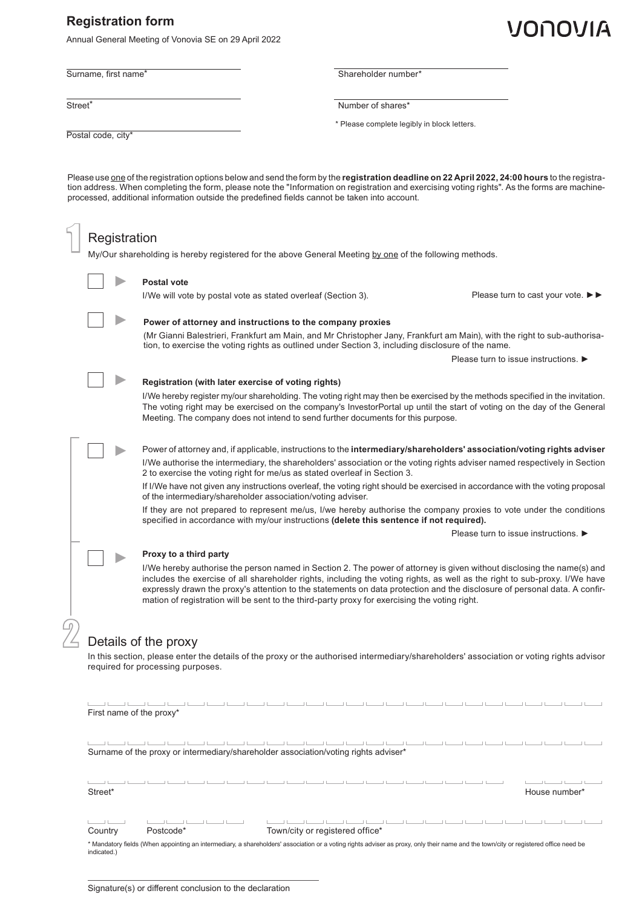## **Registration form**

Annual General Meeting of Vonovia SE on 29 April 2022

Surname, first name\*<br> **Shareholder number\***<br>
Shareholder number\*

**Street\*** Number of shares\*

\* Please complete legibly in block letters.

Postal code, city\*

Please use one of the registration options below and send the form by the **registration deadline on 22 April 2022, 24:00 hours** to the registration address. When completing the form, please note the "Information on registration and exercising voting rights". As the forms are machineprocessed, additional information outside the predefined fields cannot be taken into account.

|                                                                                                                                                                                                                                                                                                                                                                                                                                                                                                                                                                                                                                                                                                                                                     | Registration |                                                           | My/Our shareholding is hereby registered for the above General Meeting by one of the following methods.                                                                                                                                                                                                                                                                                                                                                                            |                 |                                      |  |  |
|-----------------------------------------------------------------------------------------------------------------------------------------------------------------------------------------------------------------------------------------------------------------------------------------------------------------------------------------------------------------------------------------------------------------------------------------------------------------------------------------------------------------------------------------------------------------------------------------------------------------------------------------------------------------------------------------------------------------------------------------------------|--------------|-----------------------------------------------------------|------------------------------------------------------------------------------------------------------------------------------------------------------------------------------------------------------------------------------------------------------------------------------------------------------------------------------------------------------------------------------------------------------------------------------------------------------------------------------------|-----------------|--------------------------------------|--|--|
|                                                                                                                                                                                                                                                                                                                                                                                                                                                                                                                                                                                                                                                                                                                                                     |              | <b>Postal vote</b>                                        | I/We will vote by postal vote as stated overleaf (Section 3).                                                                                                                                                                                                                                                                                                                                                                                                                      |                 | Please turn to cast your vote. ▶▶    |  |  |
|                                                                                                                                                                                                                                                                                                                                                                                                                                                                                                                                                                                                                                                                                                                                                     |              |                                                           | Power of attorney and instructions to the company proxies<br>(Mr Gianni Balestrieri, Frankfurt am Main, and Mr Christopher Jany, Frankfurt am Main), with the right to sub-authorisa-<br>tion, to exercise the voting rights as outlined under Section 3, including disclosure of the name.                                                                                                                                                                                        |                 |                                      |  |  |
| Please turn to issue instructions. ▶<br>Registration (with later exercise of voting rights)<br>I/We hereby register my/our shareholding. The voting right may then be exercised by the methods specified in the invitation.<br>The voting right may be exercised on the company's InvestorPortal up until the start of voting on the day of the General<br>Meeting. The company does not intend to send further documents for this purpose.                                                                                                                                                                                                                                                                                                         |              |                                                           |                                                                                                                                                                                                                                                                                                                                                                                                                                                                                    |                 |                                      |  |  |
| Power of attorney and, if applicable, instructions to the intermediary/shareholders' association/voting rights adviser<br>I/We authorise the intermediary, the shareholders' association or the voting rights adviser named respectively in Section<br>2 to exercise the voting right for me/us as stated overleaf in Section 3.<br>If I/We have not given any instructions overleaf, the voting right should be exercised in accordance with the voting proposal<br>of the intermediary/shareholder association/voting adviser.<br>If they are not prepared to represent me/us, I/we hereby authorise the company proxies to vote under the conditions<br>specified in accordance with my/our instructions (delete this sentence if not required). |              |                                                           |                                                                                                                                                                                                                                                                                                                                                                                                                                                                                    |                 |                                      |  |  |
|                                                                                                                                                                                                                                                                                                                                                                                                                                                                                                                                                                                                                                                                                                                                                     |              | Proxy to a third party                                    | I/We hereby authorise the person named in Section 2. The power of attorney is given without disclosing the name(s) and<br>includes the exercise of all shareholder rights, including the voting rights, as well as the right to sub-proxy. I/We have<br>expressly drawn the proxy's attention to the statements on data protection and the disclosure of personal data. A confir-<br>mation of registration will be sent to the third-party proxy for exercising the voting right. |                 | Please turn to issue instructions. ▶ |  |  |
|                                                                                                                                                                                                                                                                                                                                                                                                                                                                                                                                                                                                                                                                                                                                                     |              | Details of the proxy<br>required for processing purposes. | In this section, please enter the details of the proxy or the authorised intermediary/shareholders' association or voting rights advisor                                                                                                                                                                                                                                                                                                                                           |                 |                                      |  |  |
|                                                                                                                                                                                                                                                                                                                                                                                                                                                                                                                                                                                                                                                                                                                                                     |              | First name of the proxy*                                  |                                                                                                                                                                                                                                                                                                                                                                                                                                                                                    |                 |                                      |  |  |
|                                                                                                                                                                                                                                                                                                                                                                                                                                                                                                                                                                                                                                                                                                                                                     |              |                                                           | كالمستول فستواطأ المستول فستول فستواطئ المستول فستواطئ المستول فستول فستول فالمواطئ<br>Surname of the proxy or intermediary/shareholder association/voting rights adviser*                                                                                                                                                                                                                                                                                                         |                 |                                      |  |  |
| Street*                                                                                                                                                                                                                                                                                                                                                                                                                                                                                                                                                                                                                                                                                                                                             |              |                                                           |                                                                                                                                                                                                                                                                                                                                                                                                                                                                                    | بالمستالين بالم | House number*                        |  |  |
| <b>Contract Contract</b><br>Country                                                                                                                                                                                                                                                                                                                                                                                                                                                                                                                                                                                                                                                                                                                 |              | فالمستنا فتنسبا فتستنبأ فالمستناف<br>Postcode*            | فالمستحير المستحيل والمستحيل والمستحيلات<br>Town/city or registered office*                                                                                                                                                                                                                                                                                                                                                                                                        |                 |                                      |  |  |

\* Mandatory fields (When appointing an intermediary, a shareholders' association or a voting rights adviser as proxy, only their name and the town/city or registered office need be indicated.)

# VONOVIA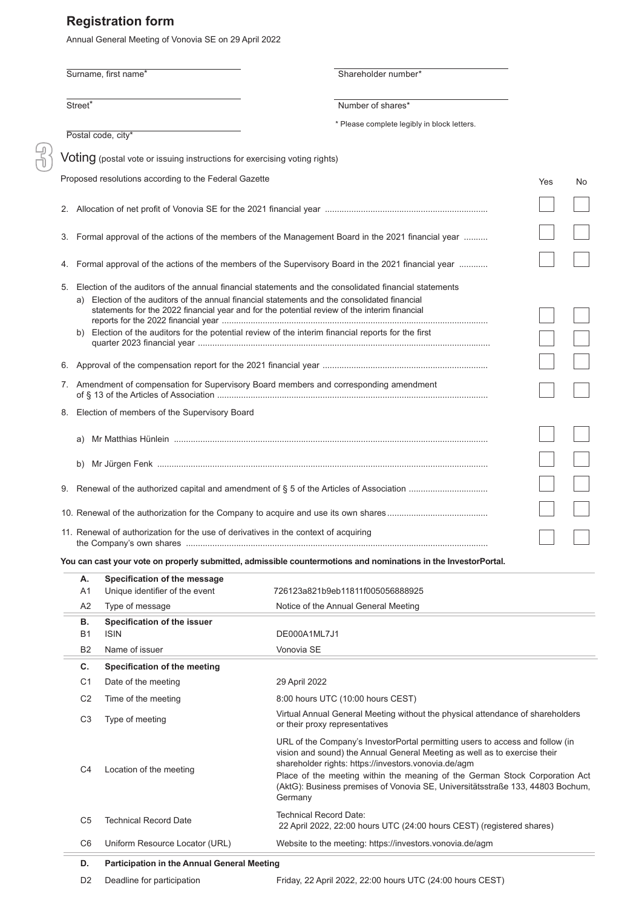# **Registration form**

Annual General Meeting of Vonovia SE on 29 April 2022

|                     | Surname, first name*                                                                              | Shareholder number*                                                                                                                                                                                                                                                                                    |     |  |  |
|---------------------|---------------------------------------------------------------------------------------------------|--------------------------------------------------------------------------------------------------------------------------------------------------------------------------------------------------------------------------------------------------------------------------------------------------------|-----|--|--|
| Street <sup>*</sup> |                                                                                                   | Number of shares*                                                                                                                                                                                                                                                                                      |     |  |  |
|                     |                                                                                                   | * Please complete legibly in block letters.                                                                                                                                                                                                                                                            |     |  |  |
|                     | Postal code, city*                                                                                |                                                                                                                                                                                                                                                                                                        |     |  |  |
|                     | $Voting$ (postal vote or issuing instructions for exercising voting rights)                       |                                                                                                                                                                                                                                                                                                        |     |  |  |
|                     | Proposed resolutions according to the Federal Gazette                                             |                                                                                                                                                                                                                                                                                                        | Yes |  |  |
|                     |                                                                                                   |                                                                                                                                                                                                                                                                                                        |     |  |  |
| 3.                  |                                                                                                   | Formal approval of the actions of the members of the Management Board in the 2021 financial year                                                                                                                                                                                                       |     |  |  |
| 4.                  | Formal approval of the actions of the members of the Supervisory Board in the 2021 financial year |                                                                                                                                                                                                                                                                                                        |     |  |  |
| 5.                  |                                                                                                   | Election of the auditors of the annual financial statements and the consolidated financial statements<br>a) Election of the auditors of the annual financial statements and the consolidated financial<br>statements for the 2022 financial year and for the potential review of the interim financial |     |  |  |
| b)                  |                                                                                                   | Election of the auditors for the potential review of the interim financial reports for the first                                                                                                                                                                                                       |     |  |  |
| 6.                  |                                                                                                   |                                                                                                                                                                                                                                                                                                        |     |  |  |
|                     | 7. Amendment of compensation for Supervisory Board members and corresponding amendment            |                                                                                                                                                                                                                                                                                                        |     |  |  |
|                     | Election of members of the Supervisory Board                                                      |                                                                                                                                                                                                                                                                                                        |     |  |  |
| a)                  |                                                                                                   |                                                                                                                                                                                                                                                                                                        |     |  |  |
| b)                  |                                                                                                   |                                                                                                                                                                                                                                                                                                        |     |  |  |
| 9.                  |                                                                                                   |                                                                                                                                                                                                                                                                                                        |     |  |  |
|                     |                                                                                                   |                                                                                                                                                                                                                                                                                                        |     |  |  |
|                     | 11. Renewal of authorization for the use of derivatives in the context of acquiring               |                                                                                                                                                                                                                                                                                                        |     |  |  |
|                     |                                                                                                   | You can cast your vote on properly submitted, admissible countermotions and nominations in the InvestorPortal.                                                                                                                                                                                         |     |  |  |
| А.<br>A1            | Specification of the message<br>Unique identifier of the event                                    | 726123a821b9eb11811f005056888925                                                                                                                                                                                                                                                                       |     |  |  |
| A2                  | Type of message                                                                                   | Notice of the Annual General Meeting                                                                                                                                                                                                                                                                   |     |  |  |
| В.<br><b>B1</b>     | Specification of the issuer<br><b>ISIN</b>                                                        | DE000A1ML7J1                                                                                                                                                                                                                                                                                           |     |  |  |
| <b>B2</b>           | Name of issuer                                                                                    | Vonovia SE                                                                                                                                                                                                                                                                                             |     |  |  |
| С.                  | Specification of the meeting                                                                      |                                                                                                                                                                                                                                                                                                        |     |  |  |

| C.             | Specification of the meeting   |                                                                                                                                                                                                                                                                                                                                                                                                |
|----------------|--------------------------------|------------------------------------------------------------------------------------------------------------------------------------------------------------------------------------------------------------------------------------------------------------------------------------------------------------------------------------------------------------------------------------------------|
| C1             | Date of the meeting            | 29 April 2022                                                                                                                                                                                                                                                                                                                                                                                  |
| C <sub>2</sub> | Time of the meeting            | 8:00 hours UTC (10:00 hours CEST)                                                                                                                                                                                                                                                                                                                                                              |
| C3             | Type of meeting                | Virtual Annual General Meeting without the physical attendance of shareholders<br>or their proxy representatives                                                                                                                                                                                                                                                                               |
| C4             | Location of the meeting        | URL of the Company's InvestorPortal permitting users to access and follow (in<br>vision and sound) the Annual General Meeting as well as to exercise their<br>shareholder rights: https://investors.vonovia.de/agm<br>Place of the meeting within the meaning of the German Stock Corporation Act<br>(AktG): Business premises of Vonovia SE, Universitätsstraße 133, 44803 Bochum,<br>Germany |
| C5             | <b>Technical Record Date</b>   | Technical Record Date:<br>22 April 2022, 22:00 hours UTC (24:00 hours CEST) (registered shares)                                                                                                                                                                                                                                                                                                |
| C <sub>6</sub> | Uniform Resource Locator (URL) | Website to the meeting: https://investors.vonovia.de/agm                                                                                                                                                                                                                                                                                                                                       |
|                | .                              |                                                                                                                                                                                                                                                                                                                                                                                                |

#### **D. Participation in the Annual General Meeting**